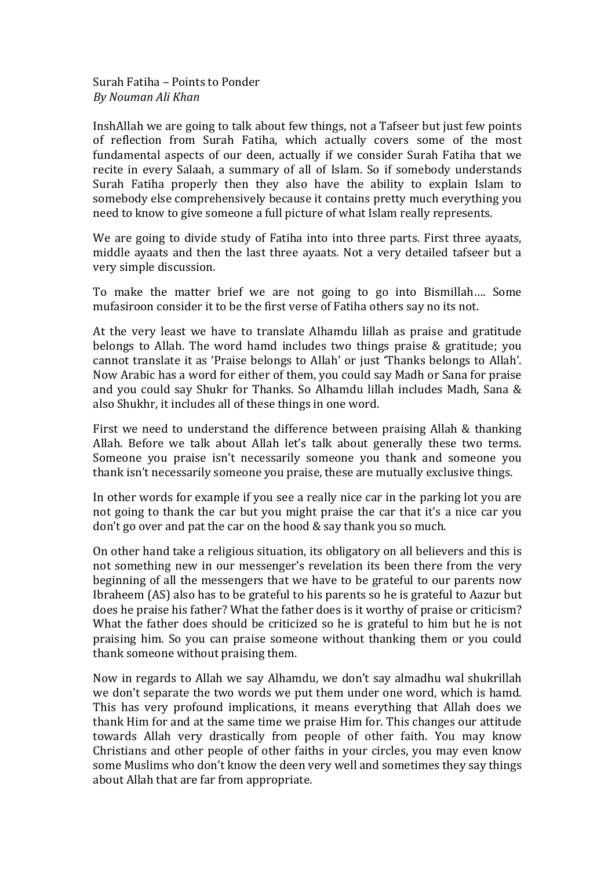Surah Fatiha – Points to Ponder *By Nouman Ali Khan*

InshAllah we are going to talk about few things, not a Tafseer but just few points of reflection from Surah Fatiha, which actually covers some of the most fundamental aspects of our deen, actually if we consider Surah Fatiha that we recite in every Salaah, a summary of all of Islam. So if somebody understands Surah Fatiha properly then they also have the ability to explain Islam to somebody else comprehensively because it contains pretty much everything you need to know to give someone a full picture of what Islam really represents.

We are going to divide study of Fatiha into into three parts. First three ayaats, middle ayaats and then the last three ayaats. Not a very detailed tafseer but a very simple discussion.

To make the matter brief we are not going to go into Bismillah.... Some mufasiroon consider it to be the first verse of Fatiha others say no its not.

At the very least we have to translate Alhamdu lillah as praise and gratitude belongs to Allah. The word hamd includes two things praise  $&$  gratitude; you cannot translate it as 'Praise belongs to Allah' or just 'Thanks belongs to Allah'. Now Arabic has a word for either of them, you could say Madh or Sana for praise and you could say Shukr for Thanks. So Alhamdu lillah includes Madh, Sana & also Shukhr, it includes all of these things in one word.

First we need to understand the difference between praising Allah & thanking Allah. Before we talk about Allah let's talk about generally these two terms. Someone you praise isn't necessarily someone you thank and someone you thank isn't necessarily someone you praise, these are mutually exclusive things.

In other words for example if you see a really nice car in the parking lot you are not going to thank the car but you might praise the car that it's a nice car you don't go over and pat the car on the hood  $&$  say thank you so much.

On other hand take a religious situation, its obligatory on all believers and this is not something new in our messenger's revelation its been there from the very beginning of all the messengers that we have to be grateful to our parents now Ibraheem (AS) also has to be grateful to his parents so he is grateful to Aazur but does he praise his father? What the father does is it worthy of praise or criticism? What the father does should be criticized so he is grateful to him but he is not praising him. So you can praise someone without thanking them or you could thank someone without praising them.

Now in regards to Allah we say Alhamdu, we don't say almadhu wal shukrillah we don't separate the two words we put them under one word, which is hamd. This has very profound implications, it means everything that Allah does we thank Him for and at the same time we praise Him for. This changes our attitude towards Allah very drastically from people of other faith. You may know Christians and other people of other faiths in your circles, you may even know some Muslims who don't know the deen very well and sometimes they say things about Allah that are far from appropriate.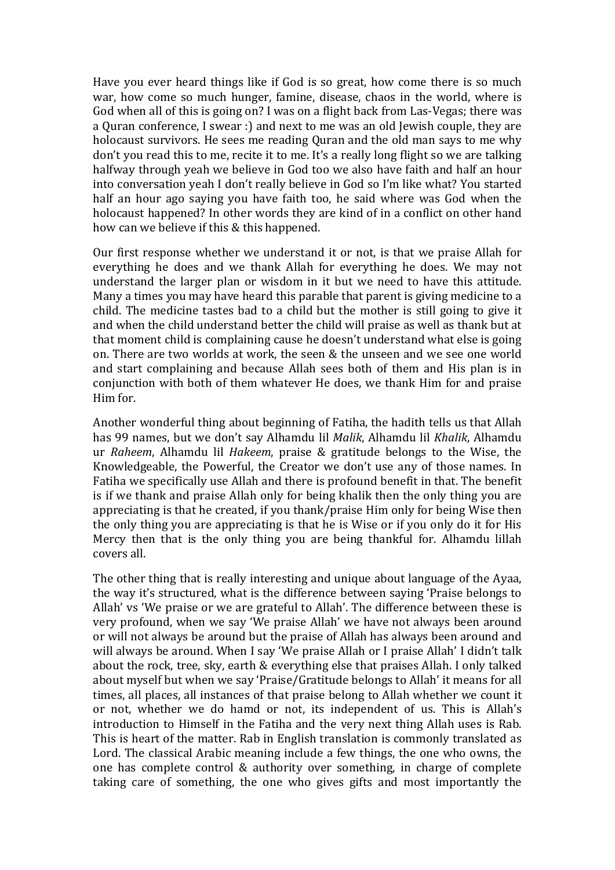Have you ever heard things like if God is so great, how come there is so much war, how come so much hunger, famine, disease, chaos in the world, where is God when all of this is going on? I was on a flight back from Las-Vegas; there was a Quran conference, I swear :) and next to me was an old Jewish couple, they are holocaust survivors. He sees me reading Quran and the old man says to me why don't you read this to me, recite it to me. It's a really long flight so we are talking halfway through yeah we believe in God too we also have faith and half an hour into conversation yeah I don't really believe in God so I'm like what? You started half an hour ago saying you have faith too, he said where was God when the holocaust happened? In other words they are kind of in a conflict on other hand how can we believe if this & this happened.

Our first response whether we understand it or not, is that we praise Allah for everything he does and we thank Allah for everything he does. We may not understand the larger plan or wisdom in it but we need to have this attitude. Many a times you may have heard this parable that parent is giving medicine to a child. The medicine tastes bad to a child but the mother is still going to give it and when the child understand better the child will praise as well as thank but at that moment child is complaining cause he doesn't understand what else is going on. There are two worlds at work, the seen & the unseen and we see one world and start complaining and because Allah sees both of them and His plan is in conjunction with both of them whatever He does, we thank Him for and praise Him for.

Another wonderful thing about beginning of Fatiha, the hadith tells us that Allah has 99 names, but we don't say Alhamdu lil *Malik*, Alhamdu lil *Khalik*, Alhamdu ur *Raheem*, Alhamdu lil *Hakeem*, praise & gratitude belongs to the Wise, the Knowledgeable, the Powerful, the Creator we don't use any of those names. In Fatiha we specifically use Allah and there is profound benefit in that. The benefit is if we thank and praise Allah only for being khalik then the only thing you are appreciating is that he created, if you thank/praise Him only for being Wise then the only thing you are appreciating is that he is Wise or if you only do it for His Mercy then that is the only thing you are being thankful for. Alhamdu lillah covers all.

The other thing that is really interesting and unique about language of the Ayaa, the way it's structured, what is the difference between saying 'Praise belongs to Allah' vs 'We praise or we are grateful to Allah'. The difference between these is very profound, when we say 'We praise Allah' we have not always been around or will not always be around but the praise of Allah has always been around and will always be around. When I say 'We praise Allah or I praise Allah' I didn't talk about the rock, tree, sky, earth & everything else that praises Allah. I only talked about myself but when we say 'Praise/Gratitude belongs to Allah' it means for all times, all places, all instances of that praise belong to Allah whether we count it or not, whether we do hamd or not, its independent of us. This is Allah's introduction to Himself in the Fatiha and the very next thing Allah uses is Rab. This is heart of the matter. Rab in English translation is commonly translated as Lord. The classical Arabic meaning include a few things, the one who owns, the one has complete control  $&$  authority over something, in charge of complete taking care of something, the one who gives gifts and most importantly the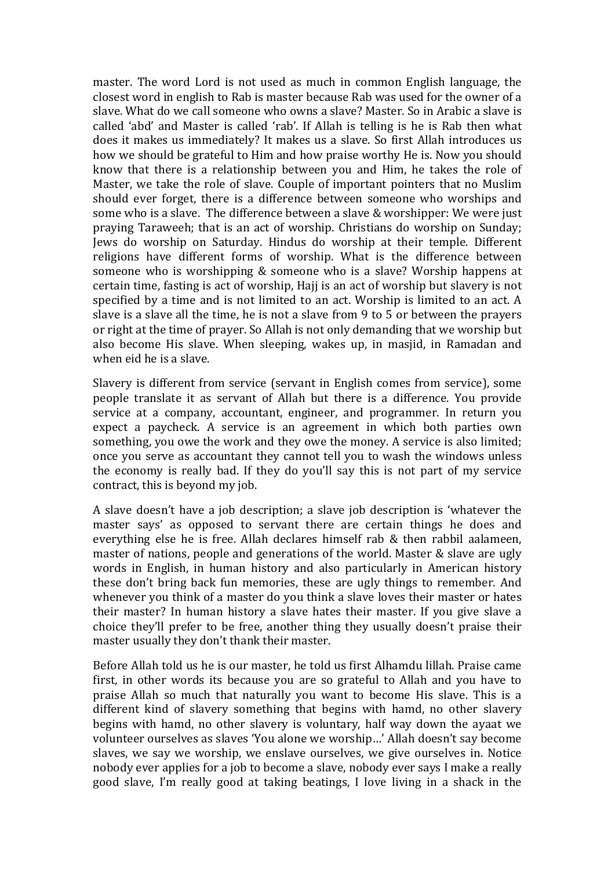master. The word Lord is not used as much in common English language, the closest word in english to Rab is master because Rab was used for the owner of a slave. What do we call someone who owns a slave? Master. So in Arabic a slave is called 'abd' and Master is called 'rab'. If Allah is telling is he is Rab then what does it makes us immediately? It makes us a slave. So first Allah introduces us how we should be grateful to Him and how praise worthy He is. Now you should know that there is a relationship between you and Him, he takes the role of Master, we take the role of slave. Couple of important pointers that no Muslim should ever forget, there is a difference between someone who worships and some who is a slave. The difference between a slave & worshipper: We were just praying Taraweeh; that is an act of worship. Christians do worship on Sunday; Jews do worship on Saturday. Hindus do worship at their temple. Different religions have different forms of worship. What is the difference between someone who is worshipping  $&$  someone who is a slave? Worship happens at certain time, fasting is act of worship, Hajj is an act of worship but slavery is not specified by a time and is not limited to an act. Worship is limited to an act. A slave is a slave all the time, he is not a slave from 9 to 5 or between the prayers or right at the time of prayer. So Allah is not only demanding that we worship but also become His slave. When sleeping, wakes up, in masjid, in Ramadan and when eid he is a slave.

Slavery is different from service (servant in English comes from service), some people translate it as servant of Allah but there is a difference. You provide service at a company, accountant, engineer, and programmer. In return you expect a paycheck. A service is an agreement in which both parties own something, you owe the work and they owe the money. A service is also limited; once you serve as accountant they cannot tell you to wash the windows unless the economy is really bad. If they do you'll say this is not part of my service contract, this is beyond my job.

A slave doesn't have a job description; a slave job description is 'whatever the master says' as opposed to servant there are certain things he does and everything else he is free. Allah declares himself rab  $&$  then rabbil aalameen, master of nations, people and generations of the world. Master  $&$  slave are ugly words in English, in human history and also particularly in American history these don't bring back fun memories, these are ugly things to remember. And whenever you think of a master do you think a slave loves their master or hates their master? In human history a slave hates their master. If you give slave a choice they'll prefer to be free, another thing they usually doesn't praise their master usually they don't thank their master.

Before Allah told us he is our master, he told us first Alhamdu lillah. Praise came first, in other words its because you are so grateful to Allah and you have to praise Allah so much that naturally you want to become His slave. This is a different kind of slavery something that begins with hamd, no other slavery begins with hamd, no other slavery is voluntary, half way down the ayaat we volunteer ourselves as slaves 'You alone we worship...' Allah doesn't say become slaves, we say we worship, we enslave ourselves, we give ourselves in. Notice nobody ever applies for a job to become a slave, nobody ever says I make a really good slave, I'm really good at taking beatings, I love living in a shack in the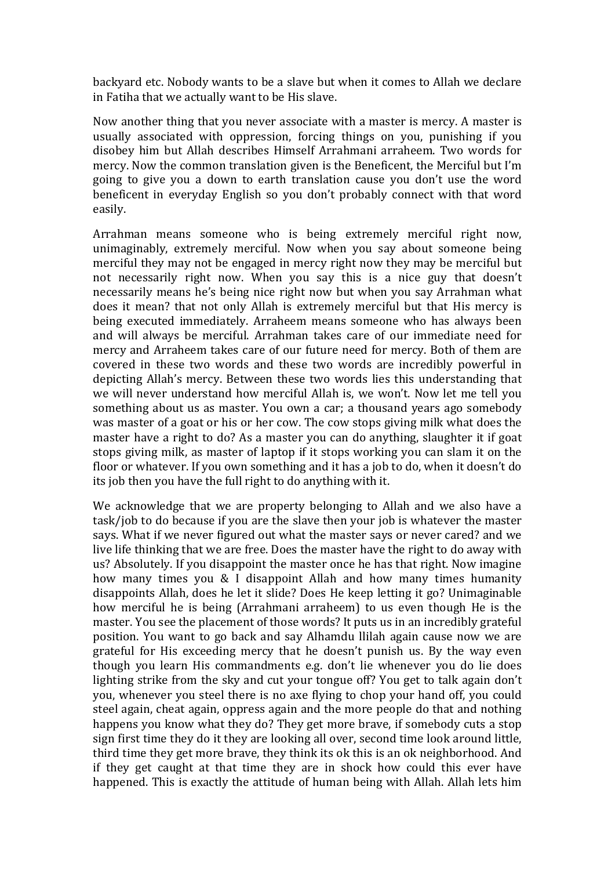backyard etc. Nobody wants to be a slave but when it comes to Allah we declare in Fatiha that we actually want to be His slave.

Now another thing that you never associate with a master is mercy. A master is usually associated with oppression, forcing things on you, punishing if you disobey him but Allah describes Himself Arrahmani arraheem. Two words for mercy. Now the common translation given is the Beneficent, the Merciful but I'm going to give you a down to earth translation cause you don't use the word beneficent in everyday English so you don't probably connect with that word easily. 

Arrahman means someone who is being extremely merciful right now, unimaginably, extremely merciful. Now when you say about someone being merciful they may not be engaged in mercy right now they may be merciful but not necessarily right now. When you say this is a nice guy that doesn't necessarily means he's being nice right now but when you say Arrahman what does it mean? that not only Allah is extremely merciful but that His mercy is being executed immediately. Arraheem means someone who has always been and will always be merciful. Arrahman takes care of our immediate need for mercy and Arraheem takes care of our future need for mercy. Both of them are covered in these two words and these two words are incredibly powerful in depicting Allah's mercy. Between these two words lies this understanding that we will never understand how merciful Allah is, we won't. Now let me tell you something about us as master. You own a car; a thousand years ago somebody was master of a goat or his or her cow. The cow stops giving milk what does the master have a right to do? As a master you can do anything, slaughter it if goat stops giving milk, as master of laptop if it stops working you can slam it on the floor or whatever. If you own something and it has a job to do, when it doesn't do its job then you have the full right to do anything with it.

We acknowledge that we are property belonging to Allah and we also have a task/job to do because if you are the slave then your job is whatever the master says. What if we never figured out what the master says or never cared? and we live life thinking that we are free. Does the master have the right to do away with us? Absolutely. If you disappoint the master once he has that right. Now imagine how many times you  $&$  I disappoint Allah and how many times humanity disappoints Allah, does he let it slide? Does He keep letting it go? Unimaginable how merciful he is being (Arrahmani arraheem) to us even though He is the master. You see the placement of those words? It puts us in an incredibly grateful position. You want to go back and say Alhamdu llilah again cause now we are grateful for His exceeding mercy that he doesn't punish us. By the way even though you learn His commandments e.g. don't lie whenever you do lie does lighting strike from the sky and cut your tongue off? You get to talk again don't you, whenever you steel there is no axe flying to chop your hand off, you could steel again, cheat again, oppress again and the more people do that and nothing happens you know what they do? They get more brave, if somebody cuts a stop sign first time they do it they are looking all over, second time look around little, third time they get more brave, they think its ok this is an ok neighborhood. And if they get caught at that time they are in shock how could this ever have happened. This is exactly the attitude of human being with Allah. Allah lets him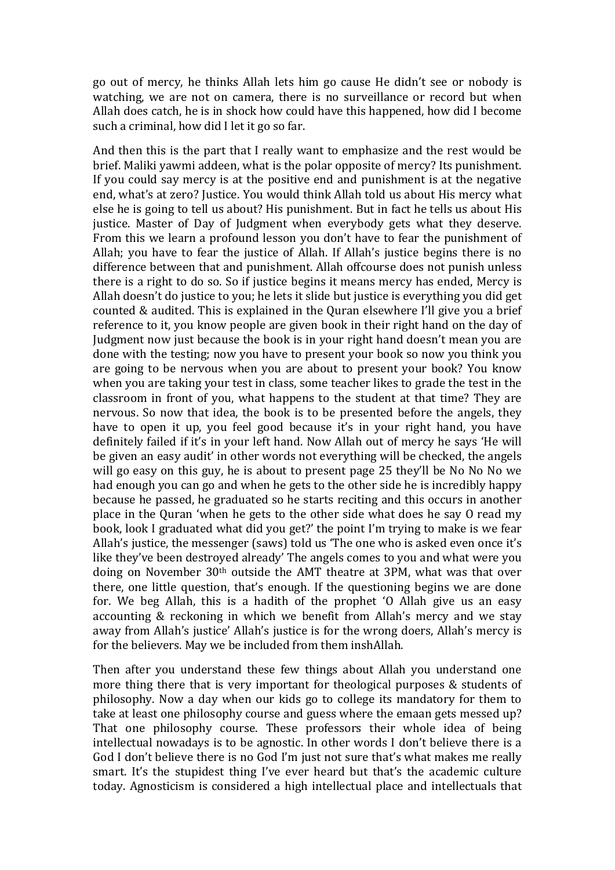go out of mercy, he thinks Allah lets him go cause He didn't see or nobody is watching, we are not on camera, there is no surveillance or record but when Allah does catch, he is in shock how could have this happened, how did I become such a criminal, how did I let it go so far.

And then this is the part that I really want to emphasize and the rest would be brief. Maliki vawmi addeen, what is the polar opposite of mercy? Its punishment. If you could say mercy is at the positive end and punishment is at the negative end, what's at zero? Justice. You would think Allah told us about His mercy what else he is going to tell us about? His punishment. But in fact he tells us about His justice. Master of Day of Judgment when everybody gets what they deserve. From this we learn a profound lesson you don't have to fear the punishment of Allah; you have to fear the justice of Allah. If Allah's justice begins there is no difference between that and punishment. Allah offcourse does not punish unless there is a right to do so. So if justice begins it means mercy has ended, Mercy is Allah doesn't do justice to you; he lets it slide but justice is everything you did get counted & audited. This is explained in the Quran elsewhere I'll give you a brief reference to it, you know people are given book in their right hand on the day of Judgment now just because the book is in your right hand doesn't mean you are done with the testing; now you have to present your book so now you think you are going to be nervous when you are about to present your book? You know when you are taking your test in class, some teacher likes to grade the test in the classroom in front of you, what happens to the student at that time? They are nervous. So now that idea, the book is to be presented before the angels, they have to open it up, you feel good because it's in your right hand, you have definitely failed if it's in your left hand. Now Allah out of mercy he says 'He will be given an easy audit' in other words not everything will be checked, the angels will go easy on this guy, he is about to present page  $25$  they'll be No No No we had enough you can go and when he gets to the other side he is incredibly happy because he passed, he graduated so he starts reciting and this occurs in another place in the Ouran 'when he gets to the other side what does he say O read my book, look I graduated what did you get?' the point I'm trying to make is we fear Allah's justice, the messenger (saws) told us 'The one who is asked even once it's like they've been destroyed already' The angels comes to you and what were you doing on November  $30<sup>th</sup>$  outside the AMT theatre at 3PM, what was that over there, one little question, that's enough. If the questioning begins we are done for. We beg Allah, this is a hadith of the prophet 'O Allah give us an easy accounting & reckoning in which we benefit from Allah's mercy and we stay away from Allah's justice' Allah's justice is for the wrong doers, Allah's mercy is for the believers. May we be included from them inshAllah.

Then after you understand these few things about Allah you understand one more thing there that is very important for theological purposes  $&$  students of philosophy. Now a day when our kids go to college its mandatory for them to take at least one philosophy course and guess where the emaan gets messed up? That one philosophy course. These professors their whole idea of being intellectual nowadays is to be agnostic. In other words I don't believe there is a God I don't believe there is no God I'm just not sure that's what makes me really smart. It's the stupidest thing I've ever heard but that's the academic culture today. Agnosticism is considered a high intellectual place and intellectuals that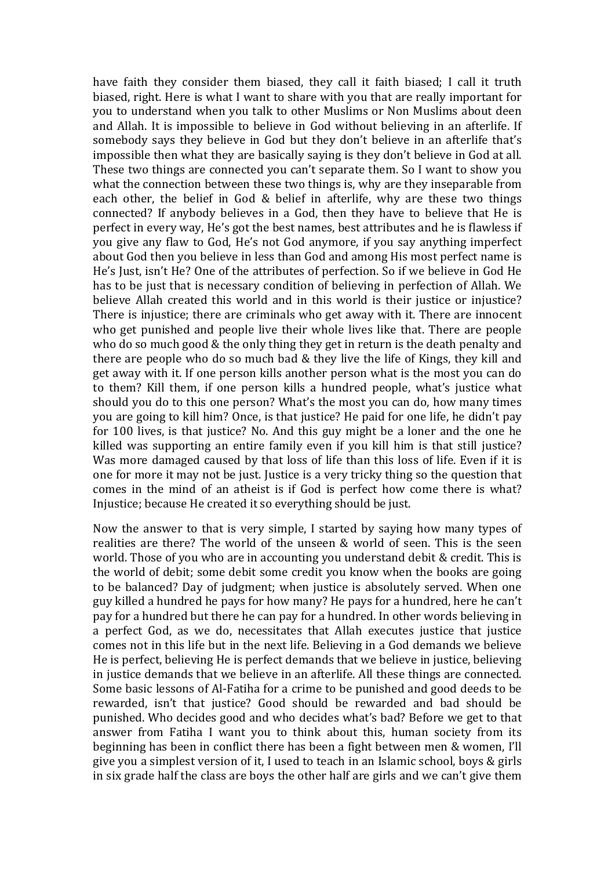have faith they consider them biased, they call it faith biased; I call it truth biased, right. Here is what I want to share with you that are really important for you to understand when you talk to other Muslims or Non Muslims about deen and Allah. It is impossible to believe in God without believing in an afterlife. If somebody says they believe in God but they don't believe in an afterlife that's impossible then what they are basically saying is they don't believe in God at all. These two things are connected you can't separate them. So I want to show you what the connection between these two things is, why are they inseparable from each other, the belief in  $God & belief$  in afterlife, why are these two things connected? If anybody believes in a God, then they have to believe that He is perfect in every way, He's got the best names, best attributes and he is flawless if you give any flaw to God, He's not God anymore, if you say anything imperfect about God then you believe in less than God and among His most perfect name is He's Just, isn't He? One of the attributes of perfection. So if we believe in God He has to be just that is necessary condition of believing in perfection of Allah. We believe Allah created this world and in this world is their justice or injustice? There is injustice; there are criminals who get away with it. There are innocent who get punished and people live their whole lives like that. There are people who do so much good  $&$  the only thing they get in return is the death penalty and there are people who do so much bad  $&$  they live the life of Kings, they kill and get away with it. If one person kills another person what is the most you can do to them? Kill them, if one person kills a hundred people, what's justice what should you do to this one person? What's the most you can do, how many times you are going to kill him? Once, is that justice? He paid for one life, he didn't pay for  $100$  lives, is that justice? No. And this guy might be a loner and the one he killed was supporting an entire family even if you kill him is that still justice? Was more damaged caused by that loss of life than this loss of life. Even if it is one for more it may not be just. Justice is a very tricky thing so the question that comes in the mind of an atheist is if God is perfect how come there is what? Injustice; because He created it so everything should be just.

Now the answer to that is very simple, I started by saying how many types of realities are there? The world of the unseen & world of seen. This is the seen world. Those of you who are in accounting you understand debit & credit. This is the world of debit; some debit some credit you know when the books are going to be balanced? Day of judgment; when justice is absolutely served. When one guy killed a hundred he pays for how many? He pays for a hundred, here he can't pay for a hundred but there he can pay for a hundred. In other words believing in a perfect God, as we do, necessitates that Allah executes justice that justice comes not in this life but in the next life. Believing in a God demands we believe He is perfect, believing He is perfect demands that we believe in justice, believing in justice demands that we believe in an afterlife. All these things are connected. Some basic lessons of Al-Fatiha for a crime to be punished and good deeds to be rewarded, isn't that justice? Good should be rewarded and bad should be punished. Who decides good and who decides what's bad? Before we get to that answer from Fatiha I want you to think about this, human society from its beginning has been in conflict there has been a fight between men & women, I'll give you a simplest version of it, I used to teach in an Islamic school, boys  $&$  girls in six grade half the class are boys the other half are girls and we can't give them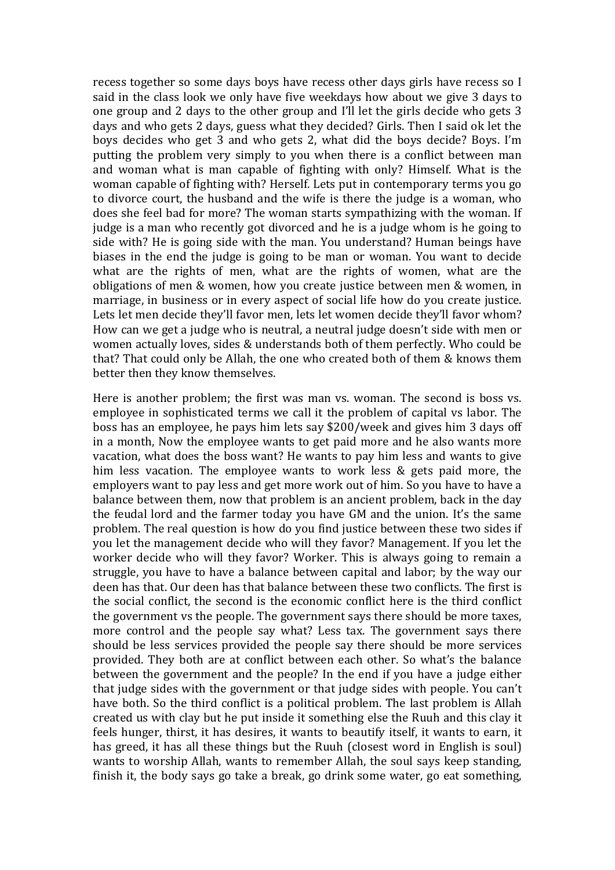recess together so some days boys have recess other days girls have recess so I said in the class look we only have five weekdays how about we give 3 days to one group and 2 days to the other group and I'll let the girls decide who gets 3 days and who gets 2 days, guess what they decided? Girls. Then I said ok let the boys decides who get 3 and who gets 2, what did the boys decide? Boys. I'm putting the problem very simply to you when there is a conflict between man and woman what is man capable of fighting with only? Himself. What is the woman capable of fighting with? Herself. Lets put in contemporary terms you go to divorce court, the husband and the wife is there the judge is a woman, who does she feel bad for more? The woman starts sympathizing with the woman. If judge is a man who recently got divorced and he is a judge whom is he going to side with? He is going side with the man. You understand? Human beings have biases in the end the judge is going to be man or woman. You want to decide what are the rights of men, what are the rights of women, what are the obligations of men & women, how you create justice between men & women, in marriage, in business or in every aspect of social life how do you create justice. Lets let men decide they'll favor men, lets let women decide they'll favor whom? How can we get a judge who is neutral, a neutral judge doesn't side with men or women actually loves, sides & understands both of them perfectly. Who could be that? That could only be Allah, the one who created both of them & knows them better then they know themselves.

Here is another problem; the first was man vs. woman. The second is boss vs. employee in sophisticated terms we call it the problem of capital vs labor. The boss has an employee, he pays him lets say \$200/week and gives him 3 days off in a month, Now the employee wants to get paid more and he also wants more vacation, what does the boss want? He wants to pay him less and wants to give him less vacation. The employee wants to work less  $\&$  gets paid more, the employers want to pay less and get more work out of him. So you have to have a balance between them, now that problem is an ancient problem, back in the day the feudal lord and the farmer today you have GM and the union. It's the same problem. The real question is how do you find justice between these two sides if you let the management decide who will they favor? Management. If you let the worker decide who will they favor? Worker. This is always going to remain a struggle, you have to have a balance between capital and labor; by the way our deen has that. Our deen has that balance between these two conflicts. The first is the social conflict, the second is the economic conflict here is the third conflict the government vs the people. The government says there should be more taxes, more control and the people say what? Less tax. The government says there should be less services provided the people say there should be more services provided. They both are at conflict between each other. So what's the balance between the government and the people? In the end if you have a judge either that judge sides with the government or that judge sides with people. You can't have both. So the third conflict is a political problem. The last problem is Allah created us with clay but he put inside it something else the Ruuh and this clay it feels hunger, thirst, it has desires, it wants to beautify itself, it wants to earn, it has greed, it has all these things but the Ruuh (closest word in English is soul) wants to worship Allah, wants to remember Allah, the soul says keep standing, finish it, the body says go take a break, go drink some water, go eat something,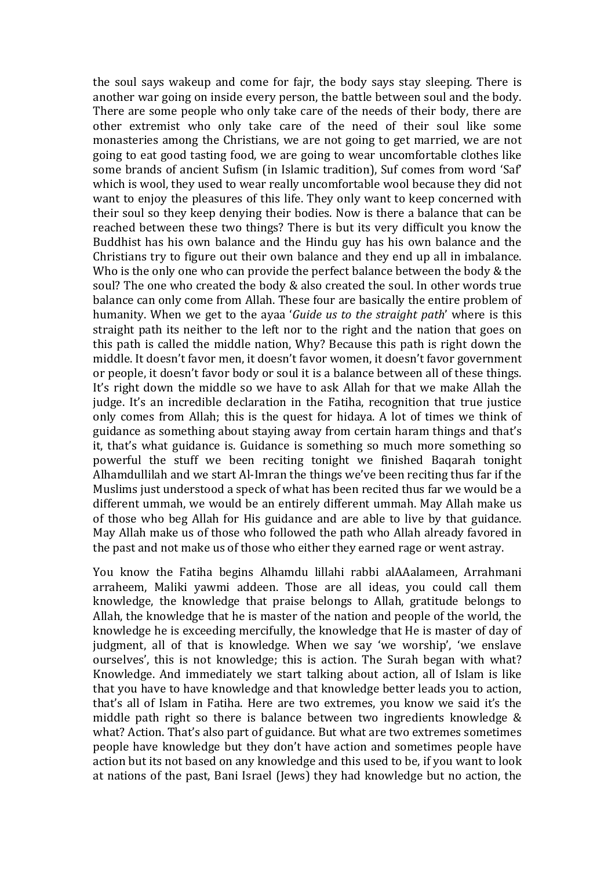the soul says wakeup and come for fajr, the body says stay sleeping. There is another war going on inside every person, the battle between soul and the body. There are some people who only take care of the needs of their body, there are other extremist who only take care of the need of their soul like some monasteries among the Christians, we are not going to get married, we are not going to eat good tasting food, we are going to wear uncomfortable clothes like some brands of ancient Sufism (in Islamic tradition), Suf comes from word 'Saf' which is wool, they used to wear really uncomfortable wool because they did not want to enjoy the pleasures of this life. They only want to keep concerned with their soul so they keep denying their bodies. Now is there a balance that can be reached between these two things? There is but its very difficult you know the Buddhist has his own balance and the Hindu guy has his own balance and the Christians try to figure out their own balance and they end up all in imbalance. Who is the only one who can provide the perfect balance between the body & the soul? The one who created the body & also created the soul. In other words true balance can only come from Allah. These four are basically the entire problem of humanity. When we get to the ayaa '*Guide* us to the straight path' where is this straight path its neither to the left nor to the right and the nation that goes on this path is called the middle nation, Why? Because this path is right down the middle. It doesn't favor men, it doesn't favor women, it doesn't favor government or people, it doesn't favor body or soul it is a balance between all of these things. It's right down the middle so we have to ask Allah for that we make Allah the judge. It's an incredible declaration in the Fatiha, recognition that true justice only comes from Allah; this is the quest for hidaya. A lot of times we think of guidance as something about staying away from certain haram things and that's it, that's what guidance is. Guidance is something so much more something so powerful the stuff we been reciting tonight we finished Bagarah tonight Alhamdullilah and we start Al-Imran the things we've been reciting thus far if the Muslims just understood a speck of what has been recited thus far we would be a different ummah, we would be an entirely different ummah. May Allah make us of those who beg Allah for His guidance and are able to live by that guidance. May Allah make us of those who followed the path who Allah already favored in the past and not make us of those who either they earned rage or went astray.

You know the Fatiha begins Alhamdu lillahi rabbi alAAalameen, Arrahmani arraheem, Maliki yawmi addeen. Those are all ideas, you could call them knowledge, the knowledge that praise belongs to Allah, gratitude belongs to Allah, the knowledge that he is master of the nation and people of the world, the knowledge he is exceeding mercifully, the knowledge that He is master of day of judgment, all of that is knowledge. When we say 'we worship', 'we enslave ourselves', this is not knowledge; this is action. The Surah began with what? Knowledge. And immediately we start talking about action, all of Islam is like that you have to have knowledge and that knowledge better leads you to action, that's all of Islam in Fatiha. Here are two extremes, you know we said it's the middle path right so there is balance between two ingredients knowledge  $\&$ what? Action. That's also part of guidance. But what are two extremes sometimes people have knowledge but they don't have action and sometimes people have action but its not based on any knowledge and this used to be, if you want to look at nations of the past, Bani Israel (Jews) they had knowledge but no action, the